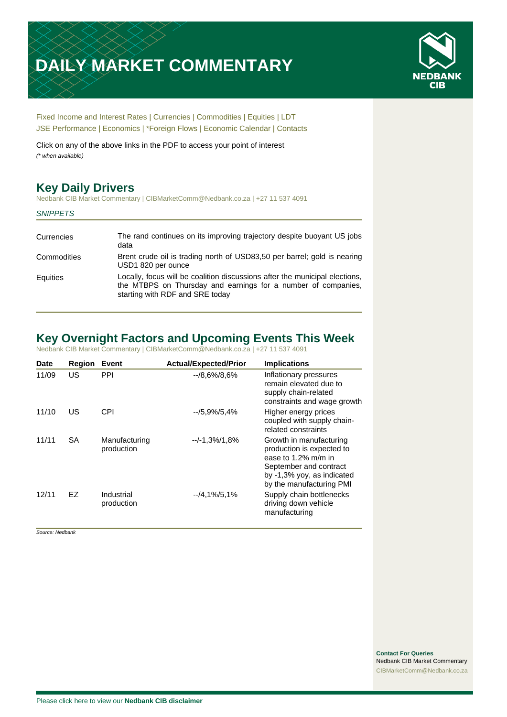# **DAILY MARKET COMMENTARY**



[Fixed Income and Interest Rates](#page-1-0) | [Currencies](#page-2-0) | [Commodities](#page-3-0) [| Equities](#page-4-0) | [LDT](#page-5-0) [JSE Performance](#page-6-0) [| Economics](#page-7-0) | [\\*Foreign Flows](#page-7-0) | [Economic Calendar](#page-7-0) | [Contacts](#page-8-0)

Click on any of the above links in the PDF to access your point of interest *(\* when available)*

# **Key Daily Drivers**

Nedbank CIB Market Commentary | CIBMarketComm@Nedbank.co.za | +27 11 537 4091

#### *SNIPPETS*

| Currencies  | The rand continues on its improving trajectory despite buoyant US jobs<br>data                                                                                                  |
|-------------|---------------------------------------------------------------------------------------------------------------------------------------------------------------------------------|
| Commodities | Brent crude oil is trading north of USD83,50 per barrel; gold is nearing<br>USD1 820 per ounce                                                                                  |
| Equities    | Locally, focus will be coalition discussions after the municipal elections,<br>the MTBPS on Thursday and earnings for a number of companies,<br>starting with RDF and SRE today |

# **Key Overnight Factors and Upcoming Events This Week**

Nedbank CIB Market Commentary | CIBMarketComm@Nedbank.co.za | +27 11 537 4091

| <b>Date</b> | Region    | Event                       | <b>Actual/Expected/Prior</b> | <b>Implications</b>                                                                                                                                             |
|-------------|-----------|-----------------------------|------------------------------|-----------------------------------------------------------------------------------------------------------------------------------------------------------------|
| 11/09       | US        | PPI                         | $-18.6\%/8.6\%$              | Inflationary pressures<br>remain elevated due to<br>supply chain-related<br>constraints and wage growth                                                         |
| 11/10       | US        | CPI                         | $-15.9\%/5.4\%$              | Higher energy prices<br>coupled with supply chain-<br>related constraints                                                                                       |
| 11/11       | <b>SA</b> | Manufacturing<br>production | $-/-1,3%$ /1,8%              | Growth in manufacturing<br>production is expected to<br>ease to 1,2% m/m in<br>September and contract<br>by -1,3% yoy, as indicated<br>by the manufacturing PMI |
| 12/11       | EZ        | Industrial<br>production    | $-4,1\%$ /5,1%               | Supply chain bottlenecks<br>driving down vehicle<br>manufacturing                                                                                               |

*Source: Nedbank*

**Contact For Queries** Nedbank CIB Market Commentary [CIBMarketComm@Nedbank.co.za](file:///C:/Users/Paul-Rose/AppData/Roaming/Bluecurve/templates/CIBMarketComm@Nedbank.co.za)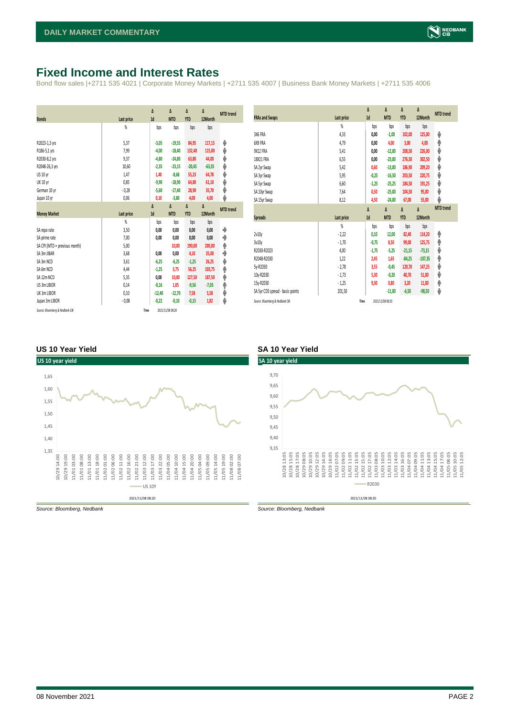## <span id="page-1-0"></span>**Fixed Income and Interest Rates**

Bond flow sales |+2711 535 4021 | Corporate Money Markets | +2711 535 4007 | Business Bank Money Markets | +2711 535 4006

| <b>Bonds</b>                  | Last price     | Δ<br>1d  | Δ<br><b>MTD</b> | Δ<br><b>YTD</b> | Δ<br>12Month | <b>MTD</b> trend |
|-------------------------------|----------------|----------|-----------------|-----------------|--------------|------------------|
|                               | $\frac{9}{20}$ | bps      | bps             | bps             | bps          |                  |
| R2023-1,3 yrs                 | 5,37           | $-3,05$  | $-19,55$        | 84,95           | 117,15       | ψ                |
| R186-5,1 yrs                  | 7,99           | $-4,00$  | $-18,40$        | 132,40          | 115,00       | ψ                |
| R2030-8,2 yrs                 | 9,37           | $-4,80$  | $-24,80$        | 63,80           | 44,00        | ψ                |
| R2048-26,3 yrs                | 10,60          | $-2,35$  | $-23,15$        | $-20,45$        | $-63,35$     | ψ                |
| US 10 yr                      | 1,47           | 1,40     | $-8,68$         | 55,23           | 64,78        | ψ                |
| <b>UK 10 yr</b>               | 0,85           | $-9,90$  | $-18,90$        | 64,80           | 61,10        | ψ                |
| German 10 yr                  | $-0,28$        | $-5,60$  | $-17,40$        | 28,90           | 35,70        | ψ                |
| Japan 10 yr                   | 0,06           | 0,10     | $-3,80$         | 4,00            | 4,00         | ψ                |
|                               |                | Δ        | Δ               | Δ               | Δ            | <b>MTD</b> trend |
| <b>Money Market</b>           | Last price     | 1d       | <b>MTD</b>      | <b>YTD</b>      | 12Month      |                  |
|                               |                |          |                 |                 |              |                  |
|                               | $\frac{9}{20}$ | bps      | bps             | bps             | bps          |                  |
| SA repo rate                  | 3,50           | 0,00     | 0,00            | 0,00            | 0,00         | ۰                |
| SA prime rate                 | 7,00           | 0,00     | 0,00            | 0,00            | 0,00         | ♦                |
| SA CPI (MTD = previous month) | 5,00           |          | 10,00           | 190,00          | 200,00       | ۸                |
| SA 3m JIBAR                   | 3,68           | 0,00     | 0,00            | 4,10            | 35,00        | ٠                |
| SA 3m NCD                     | 3,61           | $-6,25$  | $-6,25$         | $-1,25$         | 26,25        | ψ                |
| SA 6m NCD                     | 4,44           | $-1,25$  | 3,75            | 56,25           | 103,75       | ۸                |
| SA 12m NCD                    | 5.35           | 0,00     | 10,00           | 127,50          | 187,50       | ۸                |
| US 3m LIBOR                   | 0,14           | $-0,16$  | 1,05            | $-9,56$         | $-7,03$      | φ                |
| UK 3m LIBOR                   | 0,10           | $-12,40$ | $-12,70$        | 7,58            | 5,58         | ψ                |
| Japan 3m LIBOR                | $-0.08$        | $-0,22$  | $-0,10$         | $-0,15$         | 1,82         | ψ                |

|                                  |            | Δ       | Δ          | Δ          | Δ         | <b>MTD</b> trend |
|----------------------------------|------------|---------|------------|------------|-----------|------------------|
| <b>FRAs and Swaps</b>            | Last price | 1d      | <b>MTD</b> | <b>YTD</b> | 12Month   |                  |
|                                  | %          | bps     | bps        | bps        | bps       |                  |
| 3X6 FRA                          | 4,33       | 0,00    | $-1,00$    | 102,00     | 125,00    | ψ                |
| 6X9 FRA                          | 4,79       | 0,00    | 4,00       | 3,00       | 4,00      | ♠                |
| 9X12 FRA                         | 5,41       | 0,00    | $-12,00$   | 208,50     | 226,00    | ψ                |
| 18X21 FRA                        | 6,55       | 0,00    | $-23,00$   | 276,50     | 302,50    | ψ                |
| SA 2yr Swap                      | 5,42       | 0,60    | $-13,00$   | 186,90     | 209,20    | ψ                |
| SA 3yr Swap                      | 5,95       | $-0.25$ | $-16,50$   | 203,50     | 220,75    | ψ                |
| SA 5yr Swap                      | 6,60       | $-1,25$ | $-25,25$   | 184,50     | 191,25    | ψ                |
| SA 10yr Swap                     | 7,64       | 0,50    | $-25,00$   | 104,50     | 95,00     | ψ                |
| SA 15yr Swap                     | 8,12       | 4,50    | $-24,00$   | 67,00      | 55,00     | J                |
|                                  |            | Δ       | Δ          | Δ          | Δ         | <b>MTD</b> trend |
|                                  |            |         |            |            |           |                  |
| <b>Spreads</b>                   | Last price | 1d      | <b>MTD</b> | <b>YTD</b> | 12Month   |                  |
|                                  | %          | bps     | bps        | bps        | bps       |                  |
| 2v10v                            | $-2,22$    | 0,10    | 12,00      | 82,40      | 114,20    | ۸                |
| 3v10v                            | $-1,70$    | $-0,75$ | 8,50       | 99,00      | 125,75    | ♠                |
| R2030-R2023                      | 4,00       | $-1,75$ | $-5,25$    | $-21,15$   | $-73,15$  | ψ                |
| R2048-R2030                      | 1,22       | 2,45    | 1,65       | $-84,25$   | $-107,35$ | ♠                |
| 5y-R2030                         | $-2,78$    | 3,55    | $-0,45$    | 120,70     | 147,25    | ψ                |
| 10y-R2030                        | $-1,73$    | 5,30    | $-0,20$    | 40,70      | 51,00     |                  |
| 15y-R2030                        | $-1,25$    | 9,30    | 0,80       | 3,20       | 11,00     | ψ                |
| SA 5yr CDS spread - basis points | 201,50     |         | $-11,00$   | $-6,50$    | $-98,50$  | ۸<br>V           |

#### **US 10 Year Yield SA 10 Year Yield**



*Source: Bloomberg, Nedbank Source: Bloomberg, Nedbank*

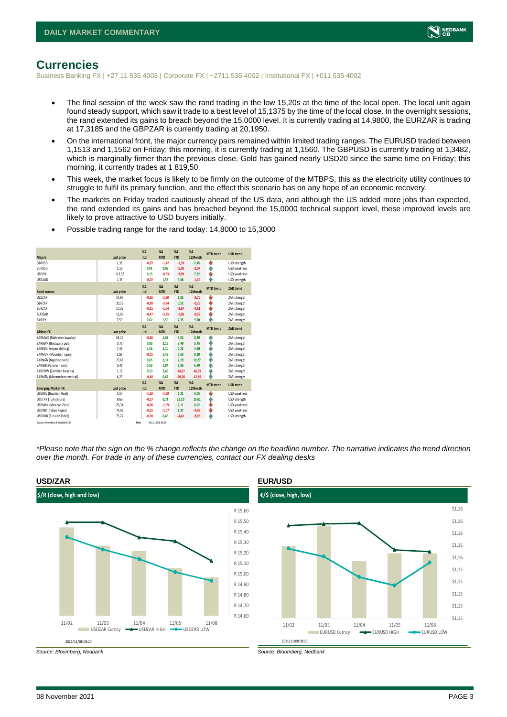

### <span id="page-2-0"></span>**Currencies**

Business Banking FX | +27 11 535 4003 | Corporate FX | +2711 535 4002 | Institutional FX | +011 535 4002

- The final session of the week saw the rand trading in the low 15,20s at the time of the local open. The local unit again found steady support, which saw it trade to a best level of 15,1375 by the time of the local close. In the overnight sessions, the rand extended its gains to breach beyond the 15,0000 level. It is currently trading at 14,9800, the EURZAR is trading at 17,3185 and the GBPZAR is currently trading at 20,1950.
- On the international front, the major currency pairs remained within limited trading ranges. The EURUSD traded between 1,1513 and 1,1562 on Friday; this morning, it is currently trading at 1,1560. The GBPUSD is currently trading at 1,3482, which is marginally firmer than the previous close. Gold has gained nearly USD20 since the same time on Friday; this morning, it currently trades at 1 819,50.
- This week, the market focus is likely to be firmly on the outcome of the MTBPS, this as the electricity utility continues to struggle to fulfil its primary function, and the effect this scenario has on any hope of an economic recovery.
- The markets on Friday traded cautiously ahead of the US data, and although the US added more jobs than expected, the rand extended its gains and has breached beyond the 15,0000 technical support level, these improved levels are likely to prove attractive to USD buyers initially.

|                                 |            | X <sub>A</sub> | X <sub>A</sub>   | $% \Delta$    | $% \Delta$ | <b>MTD</b> trend | <b>USD trend</b>    |
|---------------------------------|------------|----------------|------------------|---------------|------------|------------------|---------------------|
| <b>Majors</b>                   | Last price | $-1d$          | <b>MTD</b>       | <b>YTD</b>    | 12Month    |                  |                     |
| GBPUSD                          | 1.35       | $-0,07$        | $-1,42$          | $-1,33$       | 2.45       | ψ                | USD strength        |
| <b>EURUSD</b>                   | 1.16       | 0.01           | 0.09             | $-5,30$       | $-2,07$    | ٠                | <b>USD</b> weakness |
| <b>USDJPY</b>                   | 113,58     | 0.15           | $-0,33$          | $-9,09$       | 7,22       | ÷                | <b>USD</b> weakness |
| <b>USDAUD</b>                   | 1,35       | $-0,07$        | 1,53             | 3,88          | $-1,69$    | Φ                | USD strength        |
|                                 |            | X <sub>A</sub> | X <sub>A</sub>   | $% \Delta$    | %          | <b>MTD</b> trend | <b>ZAR trend</b>    |
| <b>Rand crosses</b>             | Last price | $-1d$          | <b>MTD</b>       | <b>YTD</b>    | 12Month    |                  |                     |
| <b>USDZAR</b>                   | 14.97      | $-0.55$        | $-1.80$          | 1,85          | $-2.70$    | v                | ZAR strength        |
| GBPZAR                          | 20,19      | $-0,58$        | $-3,34$          | 0,52          | $-0,25$    | ÷                | ZAR strength        |
| <b>FURZAR</b>                   | 17,32      | $-0.51$        | $-1.64$          | $-3,67$       | $-4.91$    | ÷                | ZAR strength        |
| AUD7AR                          | 11,09      | $-0.47$        | $-3,35$          | $-1,96$       | $-0,99$    | ψ                | ZAR strength        |
| ZARJPY                          | 7,59       | 0.62           | 1,50             | 7,35          | 9,70       | ٨                | ZAR strength        |
|                                 |            | $X\Delta$      | $X\Delta$        | $% \Delta$    | $% \Delta$ | <b>MTD</b> trend | <b>ZAR trend</b>    |
| <b>African FX</b>               | Last price | $-1d$          | <b>MTD</b>       | <b>YTD</b>    | 12Month    |                  |                     |
| ZARMWK (Malawian kwacha)        | 54,14      | $-0,26$        | 1,62             | 3,02          | 8,39       | ٠                | ZAR strength        |
| ZARBWP (Botswana pula)          | 0.76       | 0.83           | 2.15             | 3,49          | 5.75       | ٠                | ZAR strength        |
| ZARKES (Kenyan shilling)        | 7,45       | 1,56           | 2,10             | 0,22          | 4,90       | ۸                | ZAR strength        |
| ZARMUR (Mauritian rupee)        | 2.86       | $-0.11$        | 1.48             | 5.63          | 8.88       | ۸                | ZAR strength        |
| ZARNGN (Nigerian naira)         | 27,68      | 0.65           | 2,14             | 2,19          | 10,27      | ٠                | ZAR strength        |
| ZARGHS (Ghanian cedi)           | 0.41       | 0.52           | 1.84             | 2.06          | 6.99       | ٨                | ZAR strength        |
| ZARZMW (Zambian kwacha)         | 1.16       | 0.53           | 2.66             | $-24,12$      | $-16,39$   | ٠                | ZAR strength        |
| ZARMZN (Mozambican metical)     | 4,23       | $-0,49$        | 0,82             | $-20,38$      | $-12,69$   | Φ                | ZAR strength        |
|                                 |            | X <sub>A</sub> | X <sub>A</sub>   | $%$ $\Lambda$ | $% \Delta$ |                  |                     |
| <b>Emerging Market FX</b>       | Last price | $-1d$          | <b>MTD</b>       | <b>YTD</b>    | 12Month    | <b>MTD</b> trend | <b>USD trend</b>    |
| <b>USDBRL (Brazilian Real)</b>  | 5,54       | $-1,10$        | $-1.69$          | 6,21          | 0.05       | ÷                | <b>USD</b> weakness |
| USDTRY (Turkish Lira)           | 9,68       | $-0,17$        | 0.71             | 23,10         | 16,61      | ٠                | USD strength        |
| <b>USDMXN (Mexican Peso)</b>    | 20.34      | $-0.00$        | $-1.09$          | 2.11          | 0.02       | ψ                | <b>USD</b> weakness |
| <b>USDINR</b> (Indian Rupee)    | 74,08      | $-0,51$        | $-1,07$          | 1,37          | $-0,09$    | v                | <b>USD</b> weakness |
| <b>USDRUB (Russian Ruble)</b>   | 71.27      | $-0.70$        | 0.46             | $-4.41$       | $-8.06$    | ٠                | USD strength        |
| Source: Bloomberg & Nedbank CIB |            | Time           | 2021/11/08 08:20 |               |            |                  |                     |

• Possible trading range for the rand today: 14,8000 to 15,3000

*\*Please note that the sign on the % change reflects the change on the headline number. The narrative indicates the trend direction over the month. For trade in any of these currencies, contact our FX dealing desks*



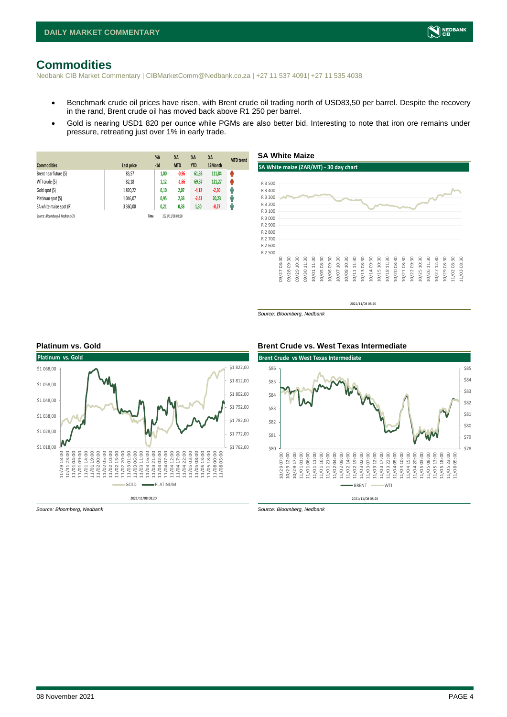# <span id="page-3-0"></span>**Commodities**

Nedbank CIB Market Commentary | CIBMarketComm@Nedbank.co.za | +27 11 537 4091| +27 11 535 4038

- Benchmark crude oil prices have risen, with Brent crude oil trading north of USD83,50 per barrel. Despite the recovery in the rand, Brent crude oil has moved back above R1 250 per barrel.
- Gold is nearing USD1 820 per ounce while PGMs are also better bid. Interesting to note that iron ore remains under pressure, retreating just over 1% in early trade.

**SA White Maize**

| <b>Commodities</b>              | Last price | $%$ $\Delta$<br>$-1d$ | $\%$ $\Delta$<br><b>MTD</b> | $%$ $\Delta$<br><b>YTD</b> | $\%$ $\Delta$<br>12Month | <b>MTD</b> trend |
|---------------------------------|------------|-----------------------|-----------------------------|----------------------------|--------------------------|------------------|
| Brent near future (\$)          | 83,57      | 1,00                  | $-0,96$                     | 61,33                      | 111,84                   | ŵ                |
| WTI crude (\$)                  | 82,18      | 1,12                  | $-1,66$                     | 69,37                      | 121,27                   | Ů                |
| Gold spot (\$)                  | 1820.22    | 0,10                  | 2,07                        | $-4,12$                    | $-2,30$                  | Ģ                |
| Platinum spot (\$)              | 1 046.07   | 0,95                  | 2,33                        | $-2,43$                    | 20,23                    | φ                |
| SA white maize spot (R)         | 3 3 6 0,00 | 0,21                  | 0,33                        | 1,30                       | $-0,27$                  | Ĥ                |
| Source: Bloomberg & Nedbank CIB |            | Time                  | 2021/11/08 08:20            |                            |                          |                  |



2021/11/08 08:20

*Source: Bloomberg, Nedbank*



*Source: Bloomberg, Nedbank Source: Bloomberg, Nedbank*

#### **Platinum vs. Gold Brent Crude vs. West Texas Intermediate**



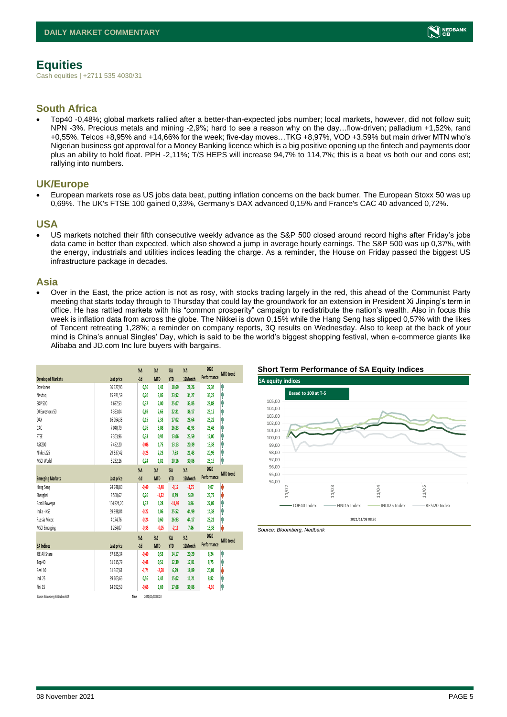# <span id="page-4-0"></span>**Equities**

Cash equities | +2711 535 4030/31

### **South Africa**

• Top40 -0,48%; global markets rallied after a better-than-expected jobs number; local markets, however, did not follow suit; NPN -3%. Precious metals and mining -2,9%; hard to see a reason why on the day…flow-driven; palladium +1,52%, rand +0,55%. Telcos +8,95% and +14,66% for the week; five-day moves…TKG +8,97%, VOD +3,59% but main driver MTN who's Nigerian business got approval for a Money Banking licence which is a big positive opening up the fintech and payments door plus an ability to hold float. PPH -2,11%; T/S HEPS will increase 94,7% to 114,7%; this is a beat vs both our and cons est; rallying into numbers.

#### **UK/Europe**

• European markets rose as US jobs data beat, putting inflation concerns on the back burner. The European Stoxx 50 was up 0,69%. The UK's FTSE 100 gained 0,33%, Germany's DAX advanced 0,15% and France's CAC 40 advanced 0,72%.

#### **USA**

• US markets notched their fifth consecutive weekly advance as the S&P 500 closed around record highs after Friday's jobs data came in better than expected, which also showed a jump in average hourly earnings. The S&P 500 was up 0,37%, with the energy, industrials and utilities indices leading the charge. As a reminder, the House on Friday passed the biggest US infrastructure package in decades.

#### **Asia**

• Over in the East, the price action is not as rosy, with stocks trading largely in the red, this ahead of the Communist Party meeting that starts today through to Thursday that could lay the groundwork for an extension in President Xi Jinping's term in office. He has rattled markets with his "common prosperity" campaign to redistribute the nation's wealth. Also in focus this week is inflation data from across the globe. The Nikkei is down 0,15% while the Hang Seng has slipped 0,57% with the likes of Tencent retreating 1,28%; a reminder on company reports, 3Q results on Wednesday. Also to keep at the back of your mind is China's annual Singles' Day, which is said to be the world's biggest shopping festival, when e-commerce giants like Alibaba and JD.com Inc lure buyers with bargains.

|                                 |               | $\%$ $\Delta$ | $\%$ $\Delta$    | $\%$ $\Delta$ | $\%$ $\Delta$ | 2020        | <b>MTD</b> trend |
|---------------------------------|---------------|---------------|------------------|---------------|---------------|-------------|------------------|
| <b>Developed Markets</b>        | Last price    | $-1d$         | <b>MTD</b>       | <b>YTD</b>    | 12Month       | Performance |                  |
| Dow Jones                       | 36 327,95     | 0,56          | 1,42             | 18,69         | 28,26         | 22,34       | ٨                |
| Nasdaq                          | 15 971,59     | 0,20          | 3,05             | 23,92         | 34,27         | 35,23       | ۸                |
| S&P 500                         | 4697,53       | 0,37          | 2,00             | 25,07         | 33,85         | 28,88       | ۸                |
| DJ Eurostoxx 50                 | 4363,04       | 0,69          | 2,65             | 22,81         | 36,17         | 25,12       | Ą                |
| DAX                             | 16 054,36     | 0.15          | 2.33             | 17,02         | 28,64         | 25,22       | Ĥ                |
| CAC                             | 7 040,79      | 0.76          | 3,08             | 26,83         | 41,93         | 26,46       | ۸                |
| <b>FTSE</b>                     | 7303,96       | 0,33          | 0,92             | 13,06         | 23,59         | 12,00       | ŧ                |
| ASX200                          | 7452,20       | $-0,06$       | 1,75             | 13,13         | 20,39         | 13,38       | ۸                |
| Nikkei 225                      | 29 537,42     | $-0.25$       | 2,23             | 7,63          | 21,43         | 20,93       | ۸                |
| MSCI World                      | 3 2 3 2, 26   | 0,24          | 1,81             | 20,16         | 30,86         | 25,19       | ۸                |
|                                 |               | $\%$ $\Delta$ | $\%$ $\Delta$    | $\%$ $\Delta$ | $\%$ $\Delta$ | 2020        | <b>MTD</b> trend |
| <b>Emerging Markets</b>         | Last price    | $-1d$         | <b>MTD</b>       | <b>YTD</b>    | 12Month       | Performance |                  |
| Hang Seng                       | 24 748.80     | $-0.49$       | $-2,48$          | $-9,12$       | $-3.75$       | 9,07        | V                |
| Shanghai                        | 3500,67       | 0,26          | $-1,32$          | 0,79          | 5,69          | 23,72       | V                |
| Brazil Bovespa                  | 104 824,20    | 1,37          | 1,28             | $-11,93$      | 3,86          | 27,07       | ۸                |
| India - NSE                     | 59 938,04     | $-0,22$       | 1,06             | 25,52         | 44,99         | 14,38       | ۸                |
| Russia Micex                    | 4 1 7 4 , 7 6 | $-0,24$       | 0.60             | 26,93         | 44,17         | 28,21       | ۸                |
| <b>MSCI Emerging</b>            | 1264.07       | $-0,35$       | $-0.05$          | $-2,11$       | 7.46          | 15,38       | J                |
|                                 |               | $\sqrt{2}$    | $\sqrt{2}$       | $\%$ $\Delta$ | $\%$ $\Delta$ | 2020        | <b>MTD</b> trend |
| <b>SA Indices</b>               | Last price    | $-1d$         | <b>MTD</b>       | <b>YTD</b>    | 12Month       | Performance |                  |
| <b>JSE All Share</b>            | 67 825,34     | $-0.49$       | 0,53             | 14,17         | 20,29         | 8,24        | ٨                |
| Top 40                          | 61 115,79     | $-0,48$       | 0.51             | 12,39         | 17,81         | 8,75        | φ                |
| Resi 10                         | 61 367,61     | $-1,74$       | $-2,58$          | 6,59          | 18,89         | 20,01       | V                |
| Indi 25                         | 89 603,66     | 0,56          | 2,42             | 15,02         | 11,21         | 8,82        | ۸                |
| Fini 15                         | 14 192.59     | $-0,66$       | 1.69             | 17,68         | 39,86         | $-4,30$     | Ą                |
| Source: Bloomberg & Nedbonk CIB |               | Time          | 2021/11/08 08:20 |               |               |             |                  |

#### **Short Term Performance of SA Equity Indices**



*Source: Bloomberg, Nedbank*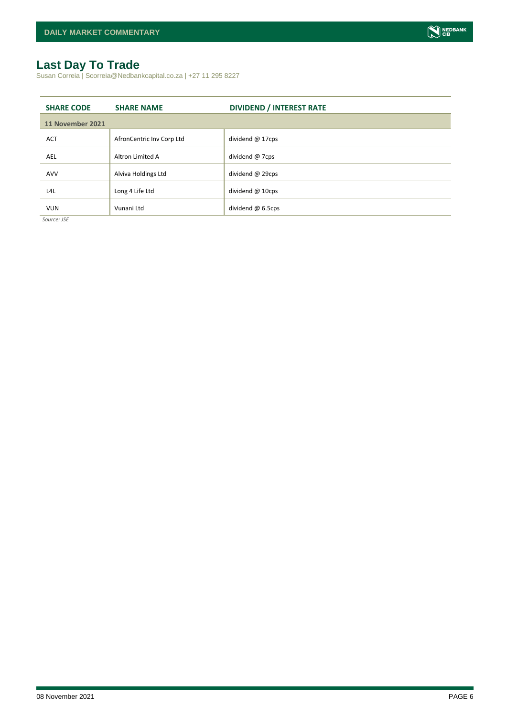# <span id="page-5-0"></span>**Last Day To Trade**

Susan Correia | Scorreia@Nedbankcapital.co.za | +27 11 295 8227

| <b>SHARE CODE</b> | <b>SHARE NAME</b>         | <b>DIVIDEND / INTEREST RATE</b> |
|-------------------|---------------------------|---------------------------------|
| 11 November 2021  |                           |                                 |
| <b>ACT</b>        | AfronCentric Inv Corp Ltd | dividend $@$ 17cps              |
| <b>AEL</b>        | Altron Limited A          | dividend @ 7cps                 |
| <b>AVV</b>        | Alviva Holdings Ltd       | dividend @ 29cps                |
| L4L               | Long 4 Life Ltd           | dividend @ 10cps                |
| <b>VUN</b>        | Vunani Ltd                | dividend $@$ 6.5cps             |

*Source: JSE*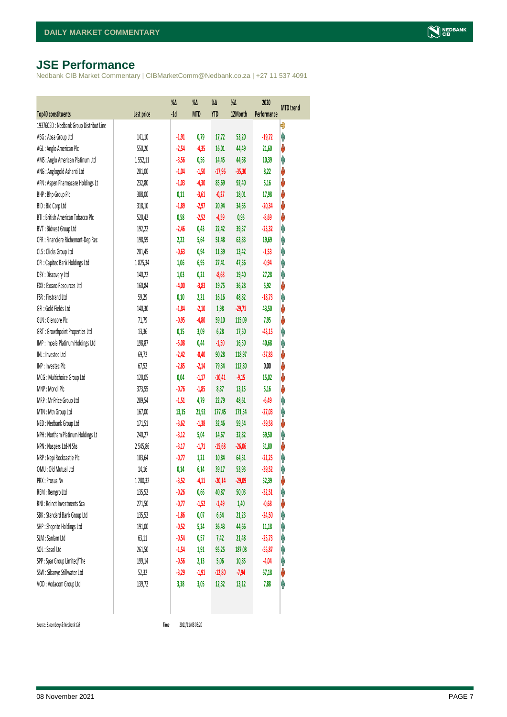# <span id="page-6-0"></span>**JSE Performance**

Nedbank CIB Market Commentary | CIBMarketComm@Nedbank.co.za | +27 11 537 4091

|                                                              |            | $\%$ $\Delta$<br>$-1d$ | %Δ         | %Δ<br><b>YTD</b> | %Δ       | 2020<br>Performance | <b>MTD</b> trend |
|--------------------------------------------------------------|------------|------------------------|------------|------------------|----------|---------------------|------------------|
| Top40 constituents<br>1937605D: Nedbank Group Distribut Line | Last price |                        | <b>MTD</b> |                  | 12Month  |                     | Đ                |
| ABG: Absa Group Ltd                                          | 141,10     | $-1,91$                | 0,79       | 17,72            | 53,20    | $-19,72$            | φ                |
| AGL: Anglo American Plc                                      | 550,20     | $-2,54$                | $-4,35$    | 16,01            | 44,49    | 21,60               | V                |
| AMS: Anglo American Platinum Ltd                             | 1552,11    | $-3,56$                | 0,56       | 14,45            | 44,68    | 10,39               | Ą                |
| ANG: Anglogold Ashanti Ltd                                   | 281,00     | $-1,04$                | $-1,50$    | $-17,96$         | $-35,30$ | 8,22                | V                |
| APN : Aspen Pharmacare Holdings Lt                           | 232,80     | $-1,03$                | $-4,30$    | 85,69            | 92,40    | 5,16                | ψ                |
| BHP: Bhp Group Plc                                           | 388,00     | 0,11                   | $-3,61$    | $-0,27$          | 18,01    | 17,98               | ψ                |
| BID: Bid Corp Ltd                                            | 318,10     | $-1,89$                | $-2,97$    | 20,94            | 34,65    | $-20,34$            | ψ                |
| BTI: British American Tobacco Plc                            | 520,42     | 0,58                   | $-2,52$    | $-4,59$          | 0,93     | $-8,69$             | ψ                |
| BVT: Bidvest Group Ltd                                       | 192,22     | $-2,46$                | 0,43       | 22,42            | 39,37    | $-23,32$            | Ą                |
| CFR : Financiere Richemont-Dep Rec                           | 198,59     | 2,22                   | 5,64       | 51,48            | 63,83    | 19,69               | φ                |
| CLS : Clicks Group Ltd                                       | 281,45     | $-0,63$                | 0,94       | 11,39            | 13,42    | $-1,53$             | φ                |
| CPI : Capitec Bank Holdings Ltd                              | 1825,34    | 1,06                   | 6,95       | 27,41            | 47,36    | $-0,94$             | φ                |
| DSY: Discovery Ltd                                           | 140,22     | 1,03                   | 0,21       | $-8,68$          | 19,40    | 27,28               | φ                |
| EXX: Exxaro Resources Ltd                                    | 160,84     | $-4,00$                | $-3,83$    | 19,75            | 36,28    | 5,92                | ψ                |
| FSR: Firstrand Ltd                                           | 59,29      | 0,10                   | 2,21       | 16,16            | 48,82    | $-18,73$            | φ                |
| GFI: Gold Fields Ltd                                         | 140,30     | $-1,84$                | $-2,10$    | 1,98             | $-29,71$ | 43,50               | V                |
| GLN : Glencore Plc                                           | 71,79      | $-0,95$                | $-4,80$    | 59,10            | 115,09   | 7,95                | ψ                |
| GRT : Growthpoint Properties Ltd                             | 13,36      | 0,15                   | 3,09       | 6,28             | 17,50    | $-43,15$            | φ                |
| IMP : Impala Platinum Holdings Ltd                           | 198,87     | $-5,08$                | 0,44       | $-1,50$          | 16,50    | 40,68               | φ                |
| INL: Investec Ltd                                            | 69,72      | $-2,42$                | $-0,40$    | 90,28            | 118,97   | $-37,83$            | V                |
| INP: Invested Plc                                            | 67,52      | $-2,85$                | $-2,14$    | 79,34            | 112,80   | 0,00                | ψ                |
| MCG: Multichoice Group Ltd                                   | 120,05     | 0,04                   | $-1,17$    | $-10,41$         | $-9,15$  | 15,02               | ψ                |
| MNP: Mondi Plc                                               | 373,55     | $-0,76$                | $-1,85$    | 8,87             | 13,15    | 5,16                | ψ                |
| MRP : Mr Price Group Ltd                                     | 209,54     | $-1,51$                | 4,79       | 22,79            | 48,61    | $-6,49$             | φ                |
| MTN: Mtn Group Ltd                                           | 167,00     | 13,15                  | 21,92      | 177,45           | 171,54   | $-27,03$            | φ                |
| NED : Nedbank Group Ltd                                      | 171,51     | $-3,62$                | $-1,38$    | 32,46            | 59,54    | $-39,58$            | V                |
| NPH : Northam Platinum Holdings Lt                           | 240,27     | $-3,12$                | 5,04       | 14,67            | 32,82    | 69,50               | φ                |
| NPN : Naspers Ltd-N Shs                                      | 2545,86    | $-3,17$                | $-1,71$    | $-15,68$         | $-26,06$ | 31,80               | V                |
| NRP : Nepi Rockcastle Plc                                    | 103,64     | $-0,77$                | 1,21       | 10,84            | 64,51    | $-21,25$            | φ                |
| OMU: Old Mutual Ltd                                          | 14,16      | 0,14                   | 6,14       | 39,17            | 53,93    | $-39,52$            | φ                |
| PRX : Prosus Nv                                              | 1280,32    | $-3,52$                | $-4,11$    | $-20,14$         | $-29,09$ | 52,39               | ψ                |
| REM : Remgro Ltd                                             | 135,52     | $-0,26$                | 0,66       | 40,87            | 50,03    | $-32,51$            | φ                |
| RNI : Reinet Investments Sca                                 | 271,50     | $-0,77$                | $-1,52$    | $-1,49$          | 1,40     | $-0,68$             | V                |
| SBK: Standard Bank Group Ltd                                 | 135,52     | $-1,86$                | 0,07       | 6,64             | 21,23    | $-24,50$            | φ                |
| SHP: Shoprite Holdings Ltd                                   | 191,00     | $-0,52$                | 5,24       | 36,43            | 44,66    | 11,18               | Ĥ                |
| SLM : Sanlam Ltd                                             | 63,11      | $-0,54$                | 0,57       | 7,42             | 21,48    | $-25,73$            | φ                |
| SOL: Sasol Ltd                                               | 261,50     | $-1,54$                | 1,91       | 95,25            | 187,08   | $-55,87$            | Ĥ                |
| SPP: Spar Group Limited/The                                  | 199,14     | $-0,56$                | 2,13       | 5,06             | 10,85    | $-4,04$             | φ                |
| SSW : Sibanye Stillwater Ltd                                 | 52,32      | $-3,29$                | $-1,91$    | $-12,80$         | $-7,94$  | 67,18               | V                |
| VOD: Vodacom Group Ltd                                       | 139,72     | 3,38                   | 3,05       | 12,32            | 13,12    | 7,88                | φ                |
|                                                              |            |                        |            |                  |          |                     |                  |

 $Source: Bloomberg & Nedbank *CB*$ 

Time 2021/11/08 08:20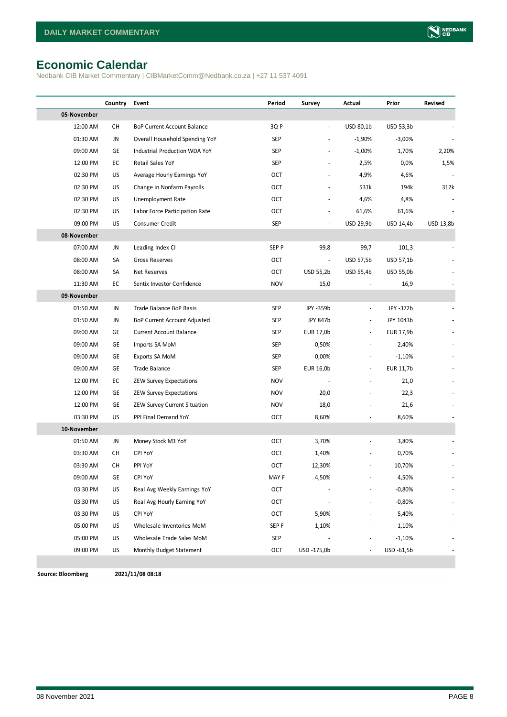# <span id="page-7-0"></span>**Economic Calendar**

Nedbank CIB Market Commentary | CIBMarketComm@Nedbank.co.za | +27 11 537 4091

|                          | Country   | Event                              | Period     | Survey         | Actual                   | Prior      | Revised   |
|--------------------------|-----------|------------------------------------|------------|----------------|--------------------------|------------|-----------|
| 05-November              |           |                                    |            |                |                          |            |           |
| 12:00 AM                 | <b>CH</b> | <b>BoP Current Account Balance</b> | 3QP        | $\blacksquare$ | USD 80,1b                | USD 53,3b  |           |
| 01:30 AM                 | JN        | Overall Household Spending YoY     | SEP        |                | $-1,90%$                 | $-3,00%$   |           |
| 09:00 AM                 | GE        | Industrial Production WDA YoY      | SEP        |                | $-1,00%$                 | 1,70%      | 2,20%     |
| 12:00 PM                 | EC        | Retail Sales YoY                   | SEP        |                | 2,5%                     | 0,0%       | 1,5%      |
| 02:30 PM                 | US        | Average Hourly Earnings YoY        | OCT        |                | 4,9%                     | 4,6%       |           |
| 02:30 PM                 | US        | Change in Nonfarm Payrolls         | OCT        |                | 531k                     | 194k       | 312k      |
| 02:30 PM                 | US        | Unemployment Rate                  | OCT        |                | 4,6%                     | 4,8%       |           |
| 02:30 PM                 | US        | Labor Force Participation Rate     | OCT        |                | 61,6%                    | 61,6%      |           |
| 09:00 PM                 | US        | Consumer Credit                    | SEP        | ÷,             | USD 29,9b                | USD 14,4b  | USD 13,8b |
| 08-November              |           |                                    |            |                |                          |            |           |
| 07:00 AM                 | JN        | Leading Index CI                   | SEP P      | 99,8           | 99,7                     | 101,3      |           |
| 08:00 AM                 | SA        | Gross Reserves                     | OCT        |                | <b>USD 57,5b</b>         | USD 57,1b  |           |
| 08:00 AM                 | SA        | Net Reserves                       | OCT        | USD 55,2b      | USD 55,4b                | USD 55,0b  |           |
| 11:30 AM                 | EC        | Sentix Investor Confidence         | <b>NOV</b> | 15,0           |                          | 16,9       |           |
| 09-November              |           |                                    |            |                |                          |            |           |
| 01:50 AM                 | JN        | Trade Balance BoP Basis            | SEP        | JPY -359b      | $\frac{1}{2}$            | JPY -372b  |           |
| 01:50 AM                 | JN        | BoP Current Account Adjusted       | SEP        | JPY 847b       | $\overline{\phantom{a}}$ | JPY 1043b  |           |
| 09:00 AM                 | GE        | <b>Current Account Balance</b>     | SEP        | EUR 17,0b      | $\overline{\phantom{a}}$ | EUR 17,9b  |           |
| 09:00 AM                 | GE        | Imports SA MoM                     | SEP        | 0,50%          |                          | 2,40%      |           |
| 09:00 AM                 | GE        | Exports SA MoM                     | SEP        | 0,00%          |                          | $-1,10%$   |           |
| 09:00 AM                 | GE        | Trade Balance                      | SEP        | EUR 16,0b      | $\overline{\phantom{a}}$ | EUR 11,7b  |           |
| 12:00 PM                 | EC        | <b>ZEW Survey Expectations</b>     | <b>NOV</b> |                |                          | 21,0       |           |
| 12:00 PM                 | GE        | <b>ZEW Survey Expectations</b>     | <b>NOV</b> | 20,0           |                          | 22,3       |           |
| 12:00 PM                 | GE        | ZEW Survey Current Situation       | <b>NOV</b> | 18,0           |                          | 21,6       |           |
| 03:30 PM                 | US        | PPI Final Demand YoY               | OCT        | 8,60%          |                          | 8,60%      |           |
| 10-November              |           |                                    |            |                |                          |            |           |
| 01:50 AM                 | JN        | Money Stock M3 YoY                 | OCT        | 3,70%          |                          | 3,80%      |           |
| 03:30 AM                 | СH        | <b>CPI YoY</b>                     | <b>OCT</b> | 1,40%          |                          | 0,70%      |           |
| 03:30 AM                 | СH        | PPI YoY                            | OCT        | 12,30%         |                          | 10,70%     |           |
| 09:00 AM                 | GЕ        | <b>CPI YoY</b>                     | MAY F      | 4,50%          |                          | 4,50%      |           |
| 03:30 PM                 | US        | Real Avg Weekly Earnings YoY       | OCT        |                |                          | $-0,80%$   |           |
| 03:30 PM                 | US        | Real Avg Hourly Earning YoY        | OCT        |                |                          | $-0,80%$   |           |
| 03:30 PM                 | US        | <b>CPI YoY</b>                     | OCT        | 5,90%          |                          | 5,40%      |           |
| 05:00 PM                 | US        | Wholesale Inventories MoM          | SEP F      | 1,10%          |                          | 1,10%      |           |
| 05:00 PM                 | US        | Wholesale Trade Sales MoM          | SEP        |                |                          | $-1,10%$   |           |
| 09:00 PM                 | US        | Monthly Budget Statement           | OCT        | USD -175,0b    | $\overline{\phantom{a}}$ | USD -61,5b |           |
|                          |           |                                    |            |                |                          |            |           |
| <b>Source: Bloomberg</b> |           | 2021/11/08 08:18                   |            |                |                          |            |           |